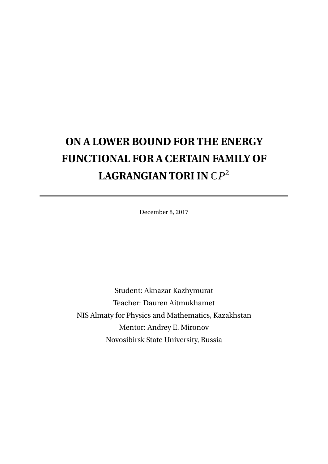# **ON A LOWER BOUND FOR THE ENERGY FUNCTIONAL FOR A CERTAIN FAMILY OF LAGRANGIAN TORI IN** C*P* 2

December 8, 2017

Student: Aknazar Kazhymurat Teacher: Dauren Aitmukhamet NIS Almaty for Physics and Mathematics, Kazakhstan Mentor: Andrey E. Mironov Novosibirsk State University, Russia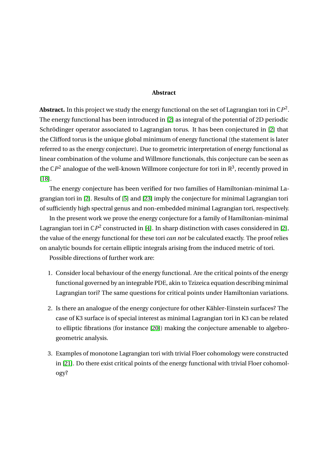#### **Abstract**

**Abstract.** In this project we study the energy functional on the set of Lagrangian tori in  $\mathbb{C}P^2$ . The energy functional has been introduced in [\[2\]](#page-13-0) as integral of the potential of 2D periodic Schrödinger operator associated to Lagrangian torus. It has been conjectured in [\[2\]](#page-13-0) that the Clifford torus is the unique global minimum of energy functional (the statement is later referred to as the energy conjecture). Due to geometric interpretation of energy functional as linear combination of the volume and Willmore functionals, this conjecture can be seen as the  $\mathbb{C}P^2$  analogue of the well-known Willmore conjecture for tori in  $\mathbb{R}^3$ , recently proved in [\[18\]](#page-14-0).

The energy conjecture has been verified for two families of Hamiltonian-minimal Lagrangian tori in [\[2\]](#page-13-0). Results of [\[5\]](#page-13-1) and [\[23\]](#page-14-1) imply the conjecture for minimal Lagrangian tori of sufficiently high spectral genus and non-embedded minimal Lagrangian tori, respectively.

In the present work we prove the energy conjecture for a family of Hamiltonian-minimal Lagrangian tori in  $\mathbb{C}P^2$  constructed in [\[4\]](#page-13-2). In sharp distinction with cases considered in [\[2\]](#page-13-0), the value of the energy functional for these tori *can not* be calculated exactly. The proof relies on analytic bounds for certain elliptic integrals arising from the induced metric of tori.

Possible directions of further work are:

- 1. Consider local behaviour of the energy functional. Are the critical points of the energy functional governed by an integrable PDE, akin to Tzizeica equation describing minimal Lagrangian tori? The same questions for critical points under Hamiltonian variations.
- 2. Is there an analogue of the energy conjecture for other Kähler-Einstein surfaces? The case of K3 surface is of special interest as minimal Lagrangian tori in K3 can be related to elliptic fibrations (for instance [\[20\]](#page-14-2)) making the conjecture amenable to algebrogeometric analysis.
- 3. Examples of monotone Lagrangian tori with trivial Floer cohomology were constructed in [\[21\]](#page-14-3). Do there exist critical points of the energy functional with trivial Floer cohomology?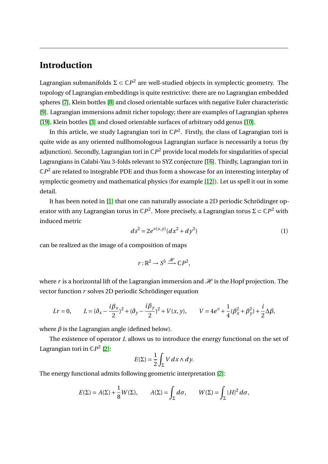### **Introduction**

Lagrangian submanifolds  $\Sigma \subset \mathbb{C}P^2$  are well-studied objects in symplectic geometry. The topology of Lagrangian embeddings is quite restrictive: there are no Lagrangian embedded spheres [\[7\]](#page-13-3), Klein bottles [\[8\]](#page-13-4) and closed orientable surfaces with negative Euler characteristic [\[9\]](#page-13-5). Lagrangian immersions admit richer topology; there are examples of Lagrangian spheres [\[19\]](#page-14-4), Klein bottles [\[3\]](#page-13-6) and closed orientable surfaces of arbitrary odd genus [\[10\]](#page-13-7).

In this article, we study Lagrangian tori in  $\mathbb{C}P^2$ . Firstly, the class of Lagrangian tori is quite wide as any oriented nullhomologous Lagrangian surface is necessarily a torus (by adjunction). Secondly, Lagrangian tori in C*P* <sup>2</sup> provide local models for singularities of special Lagrangians in Calabi-Yau 3-folds relevant to SYZ conjecture [\[16\]](#page-14-5). Thirdly, Lagrangian tori in  $\mathbb{C}P^{2}$  are related to integrable PDE and thus form a showcase for an interesting interplay of symplectic geometry and mathematical physics (for example [\[12\]](#page-14-6)). Let us spell it out in some detail.

It has been noted in [\[1\]](#page-13-8) that one can naturally associate a 2D periodic Schrödinger operator with any Lagrangian torus in  $\mathbb{C}P^2$ . More precisely, a Lagrangian torus  $\Sigma \subset \mathbb{C}P^2$  with induced metric

<span id="page-2-0"></span>
$$
ds^2 = 2e^{\nu(x,y)}(dx^2 + dy^2)
$$
 (1)

can be realized as the image of a composition of maps

$$
r:\mathbb{R}^2\to S^5\stackrel{\mathcal{H}}{\longrightarrow}\mathbb{C}P^2,
$$

where *r* is a horizontal lift of the Lagrangian immersion and  $\mathcal{H}$  is the Hopf projection. The vector function *r* solves 2D periodic Schrödinger equation

$$
Lr = 0, \qquad L = (\partial_x - \frac{i\beta_x}{2})^2 + (\partial_y - \frac{i\beta_y}{2})^2 + V(x, y), \qquad V = 4e^{\nu} + \frac{1}{4}(\beta_x^2 + \beta_y^2) + \frac{i}{2}\Delta\beta,
$$

where *β* is the Lagrangian angle (defined below).

The existence of operator *L* allows us to introduce the energy functional on the set of Lagrangian tori in  $\mathbb{C}P^2$  [\[2\]](#page-13-0):

$$
E(\Sigma) = \frac{1}{2} \int_{\Sigma} V \, dx \wedge dy.
$$

The energy functional admits following geometric interpretation [\[2\]](#page-13-0):

$$
E(\Sigma) = A(\Sigma) + \frac{1}{8}W(\Sigma), \qquad A(\Sigma) = \int_{\Sigma} d\sigma, \qquad W(\Sigma) = \int_{\Sigma} |H|^2 d\sigma,
$$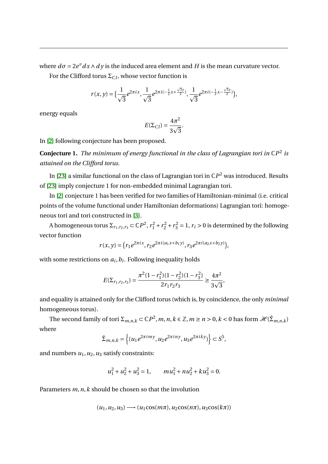where  $d\sigma = 2e^{\nu}dx \wedge dy$  is the induced area element and *H* is the mean curvature vector.

For the Clifford torus  $\Sigma_{Cl}$ , whose vector function is

$$
r(x,y)=\Big(\frac{1}{\sqrt{3}}e^{2\pi ix},\frac{1}{\sqrt{3}}e^{2\pi i(-\frac{1}{2}x+\frac{\sqrt{3}y}{2})},\frac{1}{\sqrt{3}}e^{2\pi i(-\frac{1}{2}x-\frac{\sqrt{3}y}{2})}\Big),
$$

energy equals

$$
E(\Sigma_{Cl}) = \frac{4\pi^2}{3\sqrt{3}}.
$$

In [\[2\]](#page-13-0) following conjecture has been proposed.

**Conjecture 1.** *The minimum of energy functional in the class of Lagrangian tori in* C*P* 2 *is attained on the Clifford torus.*

In [\[23\]](#page-14-1) a similar functional on the class of Lagrangian tori in  $\mathbb{C}P^{2}$  was introduced. Results of [\[23\]](#page-14-1) imply conjecture 1 for non-embedded minimal Lagrangian tori.

In [\[2\]](#page-13-0) conjecture 1 has been verified for two families of Hamiltonian-minimal (i.e. critical points of the volume functional under Hamiltonian deformations) Lagrangian tori: homogeneous tori and tori constructed in [\[3\]](#page-13-6).

A homogeneous torus  $\Sigma_{r_1,r_2,r_3} \subset \mathbb{C}P^2$ ,  $r_1^2 + r_2^2 + r_3^2 = 1$ ,  $r_i > 0$  is determined by the following vector function

$$
r(x, y) = (r_1 e^{2\pi ix}, r_2 e^{2\pi i (a_1 x + b_1 y)}, r_3 e^{2\pi i (a_2 x + b_2 y)}),
$$

with some restrictions on  $a_i, b_i.$  Following inequality holds

$$
E(\Sigma_{r_1,r_2,r_3}) = \frac{\pi^2 (1 - r_1^2)(1 - r_2^2)(1 - r_3^2)}{2r_1r_2r_3} \ge \frac{4\pi^2}{3\sqrt{3}},
$$

and equality is attained only for the Clifford torus (which is, by coincidence, the only *minimal* homogeneous torus).

The second family of tori  $\Sigma_{m,n,k} \subset \mathbb{C}P^2$ ,  $m,n,k \in \mathbb{Z}$ ,  $m \ge n > 0$ ,  $k < 0$  has form  $\mathcal{H}(\tilde{\Sigma}_{m,n,k})$ where

$$
\tilde{\Sigma}_{m,n,k} = \left\{ (u_1 e^{2\pi i m y}, u_2 e^{2\pi i n y}, u_3 e^{2\pi i k y}) \right\} \subset S^5,
$$

and numbers  $u_1$ ,  $u_2$ ,  $u_3$  satisfy constraints:

$$
u_1^2 + u_2^2 + u_3^2 = 1, \qquad mu_1^2 + nu_2^2 + ku_3^2 = 0.
$$

Parameters *m*,*n*,*k* should be chosen so that the involution

$$
(u_1, u_2, u_3) \longrightarrow (u_1 \cos(m\pi), u_2 \cos(n\pi), u_3 \cos(k\pi))
$$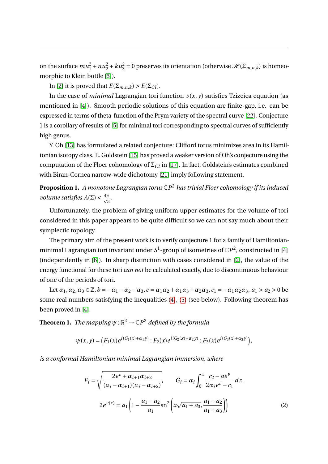on the surface  $mu_1^2 + nu_2^2 + ku_3^2 = 0$  preserves its orientation (otherwise  $\mathcal{H}(\tilde{\Sigma}_{m,n,k})$  is homeomorphic to Klein bottle [\[3\]](#page-13-6)).

In [\[2\]](#page-13-0) it is proved that  $E(\Sigma_{m,n,k}) > E(\Sigma_{Cl})$ .

In the case of *minimal* Lagrangian tori function  $v(x, y)$  satisfies Tzizeica equation (as mentioned in [\[4\]](#page-13-2)). Smooth periodic solutions of this equation are finite-gap, i.e. can be expressed in terms of theta-function of the Prym variety of the spectral curve [\[22\]](#page-14-7). Conjecture 1 is a corollary of results of [\[5\]](#page-13-1) for minimal tori corresponding to spectral curves of sufficiently high genus.

Y. Oh [\[13\]](#page-14-8) has formulated a related conjecture: Clifford torus minimizes area in its Hamiltonian isotopy class. E. Goldstein [\[15\]](#page-14-9) has proved a weaker version of Oh's conjecture using the computation of the Floer cohomology of  $\Sigma_{Cl}$  in [\[17\]](#page-14-10). In fact, Goldstein's estimates combined with Biran-Cornea narrow-wide dichotomy [\[21\]](#page-14-3) imply following statement.

**Proposition 1.** *A monotone Lagrangian torus* C*P* <sup>2</sup> *has trivial Floer cohomology if its induced volume satisfies*  $A(\Sigma) < \frac{4\pi}{\sqrt{2}}$  $\frac{\pi}{3}$ .

Unfortunately, the problem of giving uniform upper estimates for the volume of tori considered in this paper appears to be quite difficult so we can not say much about their symplectic topology.

The primary aim of the present work is to verify conjecture 1 for a family of Hamiltonianminimal Lagrangian tori invariant under  $S^1$ -group of isometries of  $\mathbb{C}P^2$ , constructed in [\[4\]](#page-13-2) (independently in [\[6\]](#page-13-9)). In sharp distinction with cases considered in [\[2\]](#page-13-0), the value of the energy functional for these tori *can not* be calculated exactly, due to discontinuous behaviour of one of the periods of tori.

Let  $\alpha_1, \alpha_2, \alpha_3 \in \mathbb{Z}, b = -\alpha_1 - \alpha_2 - \alpha_3, c = \alpha_1 \alpha_2 + \alpha_1 \alpha_3 + \alpha_2 \alpha_3, c_1 = -\alpha_1 \alpha_2 \alpha_3, a_1 > a_2 > 0$  be some real numbers satisfying the inequalities [\(4\)](#page-5-0), [\(5\)](#page-5-1) (see below). Following theorem has been proved in [\[4\]](#page-13-2).

**Theorem 1.** *The mapping*  $\psi : \mathbb{R}^2 \to \mathbb{C}P^2$  *defined by the formula* 

$$
\psi(x,y) = \big( F_1(x) e^{i(G_1(x) + \alpha_1 y)} : F_2(x) e^{i(G_2(x) + \alpha_2 y)} : F_3(x) e^{i(G_3(x) + \alpha_3 y)} \big),
$$

*is a conformal Hamiltonian minimal Lagrangian immersion, where*

$$
F_i = \sqrt{\frac{2e^{\nu} + \alpha_{i+1}\alpha_{i+2}}{(\alpha_i - \alpha_{i+1})(\alpha_i - \alpha_{i+2})}}, \qquad G_i = \alpha_i \int_0^x \frac{c_2 - ae^{\nu}}{2\alpha_i e^{\nu} - c_1} dz,
$$
  

$$
2e^{\nu(x)} = a_1 \left(1 - \frac{a_1 - a_2}{a_1} \operatorname{sn}^2 \left(x\sqrt{a_1 + a_3}, \frac{a_1 - a_2}{a_1 + a_3}\right)\right)
$$
(2)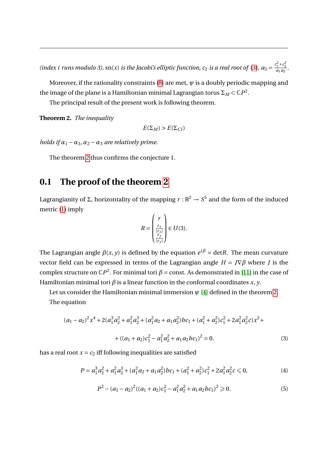(index *i* runs modulo 3), sn(*x*) *is the Jacobi's elliptic function*, *c*<sub>2</sub> *is a real root of* [\(3\)](#page-5-2),  $a_3 = \frac{c_1^2 + c_2^2}{a_1 a_2}$ .

Moreover, if the rationality constraints [\(8\)](#page-6-0) are met,  $\psi$  is a doubly periodic mapping and the image of the plane is a Hamiltonian minimal Lagrangian torus  $\Sigma_M$   $\subset$   $\mathbb{C}P^2$ .

The principal result of the present work is following theorem.

<span id="page-5-3"></span>**Theorem 2.** *The inequality*

$$
E(\Sigma_M) > E(\Sigma_C)
$$

*holds if*  $\alpha_1 - \alpha_3$ ,  $\alpha_2 - \alpha_3$  *are relatively prime.* 

The theorem [2](#page-5-3) thus confirms the conjecture 1.

#### **0.1 The proof of the theorem [2](#page-5-3)**

Lagrangianity of Σ, horizontality of the mapping  $r:\mathbb{R}^2 \to S^5$  and the form of the induced metric [\(1\)](#page-2-0) imply

$$
R = \begin{pmatrix} r \\ \frac{r_x}{|r_x|} \\ \frac{r_y}{|r_y|} \end{pmatrix} \in U(3).
$$

The Lagrangian angle  $\beta(x, y)$  is defined by the equation  $e^{i\beta} = \text{det}R$ . The mean curvature vector field can be expressed in terms of the Lagrangian angle *H* = *J*∇*β* where *J* is the complex structure on  $\mathbb{C}P^2$ . For minimal tori  $\beta$  = const. As demonstrated in [\[11\]](#page-13-10) in the case of Hamiltonian minimal tori  $\beta$  is a linear function in the conformal coordinates  $x$ ,  $y$ .

Let us consider the Hamiltonian minimal immersion  $\psi$  [\[4\]](#page-13-2) defined in the theorem [2.](#page-5-3) The equation

$$
(a_1 - a_2)^2 x^4 + 2(a_1^3 a_2^2 + a_1^2 a_2^3 + (a_1^2 a_2 + a_1 a_2^2)bc_1 + (a_1^2 + a_2^2)c_1^2 + 2a_1^2 a_2^2 c)x^2 +
$$
  
+ 
$$
((a_1 + a_2)c_1^2 - a_1^2 a_2^2 + a_1 a_2 bc_1)^2 = 0.
$$
 (3)

has a real root  $x = c_2$  iff following inequalities are satisfied

<span id="page-5-2"></span><span id="page-5-0"></span>
$$
P = a_1^3 a_2^2 + a_1^2 a_2^3 + (a_1^2 a_2 + a_1 a_2^2) b c_1 + (a_1^2 + a_2^2) c_1^2 + 2 a_1^2 a_2^2 c \le 0,
$$
 (4)

<span id="page-5-1"></span>
$$
P2 - (a1 - a2)2 ((a1 + a2)c12 - a12a22 + a1a2bc1)2 \ge 0.
$$
 (5)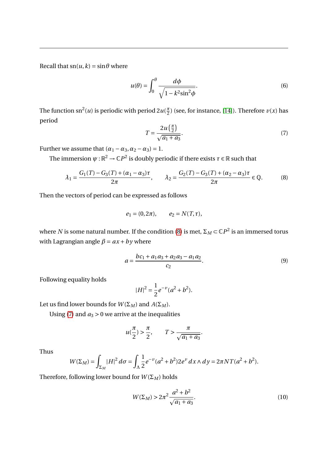Recall that  $\text{sn}(u, k) = \sin \theta$  where

<span id="page-6-2"></span>
$$
u(\theta) = \int_0^{\theta} \frac{d\phi}{\sqrt{1 - k^2 \sin^2 \phi}}.
$$
 (6)

The function sn<sup>2</sup>(*u*) is periodic with period 2*u*( $\frac{\pi}{2}$  $\frac{\pi}{2}$ ) (see, for instance, [\[14\]](#page-14-11)). Therefore  $v(x)$  has period

<span id="page-6-1"></span>
$$
T = \frac{2u\left(\frac{\pi}{2}\right)}{\sqrt{a_1 + a_3}}.\tag{7}
$$

Further we assume that  $(\alpha_1 - \alpha_3, \alpha_2 - \alpha_3) = 1$ .

The immersion  $\psi$  :  $\mathbb{R}^2 \to \mathbb{C}P^2$  is doubly periodic if there exists  $\tau \in \mathbb{R}$  such that

<span id="page-6-0"></span>
$$
\lambda_1 = \frac{G_1(T) - G_3(T) + (\alpha_1 - \alpha_3)\tau}{2\pi}, \qquad \lambda_2 = \frac{G_2(T) - G_3(T) + (\alpha_2 - \alpha_3)\tau}{2\pi} \in \mathbb{Q}.
$$
 (8)

Then the vectors of period can be expressed as follows

$$
e_1 = (0, 2\pi), \quad e_2 = N(T, \tau),
$$

where  $N$  is some natural number. If the condition [\(8\)](#page-6-0) is met,  $\Sigma_M \! \subset \! \mathbb{C}P^2$  is an immersed torus with Lagrangian angle  $\beta = ax + by$  where

$$
a = \frac{bc_1 + a_1a_3 + a_2a_3 - a_1a_2}{c_2}.
$$
\n(9)

Following equality holds

$$
|H|^2 = \frac{1}{2}e^{-\nu}(a^2 + b^2).
$$

Let us find lower bounds for  $W(\Sigma_M)$  and  $A(\Sigma_M)$ .

Using [\(7\)](#page-6-1) and  $a_3 > 0$  we arrive at the inequalities

$$
u(\frac{\pi}{2}) > \frac{\pi}{2}, \qquad T > \frac{\pi}{\sqrt{a_1 + a_3}}.
$$

Thus

$$
W(\Sigma_M) = \int_{\Sigma_M} |H|^2 \, d\sigma = \int_{\Lambda} \frac{1}{2} e^{-\nu} (a^2 + b^2) 2e^{\nu} \, dx \wedge dy = 2\pi N T (a^2 + b^2).
$$

Therefore, following lower bound for  $W(\Sigma_M)$  holds

<span id="page-6-3"></span>
$$
W(\Sigma_M) > 2\pi^2 \frac{a^2 + b^2}{\sqrt{a_1 + a_3}}.
$$
\n(10)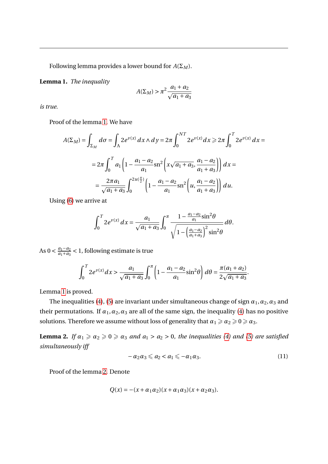Following lemma provides a lower bound for  $A(\Sigma_M)$ .

<span id="page-7-0"></span>**Lemma 1.** *The inequality*

$$
A(\Sigma_M) > \pi^2 \frac{a_1 + a_2}{\sqrt{a_1 + a_3}}
$$

*is true.*

Proof of the lemma [1.](#page-7-0) We have

$$
A(\Sigma_M) = \int_{\Sigma_M} d\sigma = \int_{\Lambda} 2e^{\nu(x)} dx \wedge dy = 2\pi \int_0^{NT} 2e^{\nu(x)} dx \ge 2\pi \int_0^T 2e^{\nu(x)} dx =
$$
  
= 
$$
2\pi \int_0^T a_1 \left( 1 - \frac{a_1 - a_2}{a_1} \sin^2 \left( x \sqrt{a_1 + a_3}, \frac{a_1 - a_2}{a_1 + a_3} \right) \right) dx =
$$
  
= 
$$
\frac{2\pi a_1}{\sqrt{a_1 + a_3}} \int_0^{2u(\frac{\pi}{2})} \left( 1 - \frac{a_1 - a_2}{a_1} \sin^2 \left( u, \frac{a_1 - a_2}{a_1 + a_3} \right) \right) du.
$$

Using [\(6\)](#page-6-2) we arrive at

$$
\int_0^T 2e^{\nu(x)} dx = \frac{a_1}{\sqrt{a_1 + a_3}} \int_0^{\pi} \frac{1 - \frac{a_1 - a_2}{a_1} \sin^2 \theta}{\sqrt{1 - \left(\frac{a_1 - a_2}{a_1 + a_3}\right)^2 \sin^2 \theta}} d\theta.
$$

As 0 <  $\frac{a_1 - a_2}{a_1 + a_2}$  $\frac{a_1-a_2}{a_1+a_3}$  < 1, following estimate is true

$$
\int_0^T 2e^{\nu(x)} dx > \frac{a_1}{\sqrt{a_1 + a_3}} \int_0^{\pi} \left(1 - \frac{a_1 - a_2}{a_1} \sin^2 \theta \right) d\theta = \frac{\pi (a_1 + a_2)}{2\sqrt{a_1 + a_3}}.
$$

Lemma [1](#page-7-0) is proved.

The inequalities [\(4\)](#page-5-0), [\(5\)](#page-5-1) are invariant under simultaneous change of sign  $\alpha_1$ ,  $\alpha_2$ ,  $\alpha_3$  and their permutations. If  $\alpha_1, \alpha_2, \alpha_3$  are all of the same sign, the inequality [\(4\)](#page-5-0) has no positive solutions. Therefore we assume without loss of generality that  $\alpha_1 \geqslant \alpha_2 \geqslant 0 \geqslant \alpha_3.$ 

<span id="page-7-1"></span>**Lemma 2.** *If*  $\alpha_1 \ge \alpha_2 \ge 0 \ge \alpha_3$  *and*  $a_1 > a_2 > 0$ *, the inequalities [\(4\)](#page-5-0) and [\(5\)](#page-5-1) are satisfied simultaneously iff*

<span id="page-7-2"></span>
$$
-\alpha_2\alpha_3 \leqslant a_2 < a_1 \leqslant -\alpha_1\alpha_3. \tag{11}
$$

Proof of the lemma [2.](#page-7-1) Denote

$$
Q(x) = -(x + \alpha_1 \alpha_2)(x + \alpha_1 \alpha_3)(x + \alpha_2 \alpha_3).
$$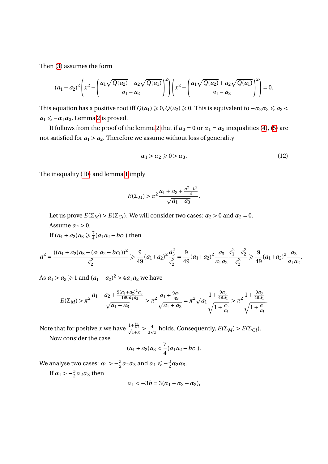Then [\(3\)](#page-5-2) assumes the form

$$
(a_1-a_2)^2\left(x^2-\left(\frac{a_1\sqrt{Q(a_2)}-a_2\sqrt{Q(a_1)}}{a_1-a_2}\right)^2\right)\left(x^2-\left(\frac{a_1\sqrt{Q(a_2)}+a_2\sqrt{Q(a_1)}}{a_1-a_2}\right)^2\right)=0.
$$

This equation has a positive root iff  $Q(a_1) \geq 0$ ,  $Q(a_2) \geq 0$ . This is equivalent to  $-a_2a_3 \leq a_2 < a_1$  $a_1 \leqslant$  −*α*<sub>1</sub>*α*<sub>3</sub>. Lemma [2](#page-7-1) is proved.

It follows from the proof of the lemma [2](#page-7-1) that if  $\alpha_3 = 0$  or  $\alpha_1 = \alpha_2$  inequalities [\(4\)](#page-5-0), [\(5\)](#page-5-1) are not satisfied for  $a_1 > a_2$ . Therefore we assume without loss of generality

<span id="page-8-0"></span>
$$
\alpha_1 > \alpha_2 \geqslant 0 > \alpha_3. \tag{12}
$$

The inequality [\(10\)](#page-6-3) and lemma [1](#page-7-0) imply

$$
E(\Sigma_M) > \pi^2 \frac{a_1 + a_2 + \frac{a^2 + b^2}{4}}{\sqrt{a_1 + a_3}}.
$$

Let us prove  $E(\Sigma_M) > E(\Sigma_C)$ . We will consider two cases:  $\alpha_2 > 0$  and  $\alpha_2 = 0$ . Assume  $\alpha_2 > 0$ .

If  $(a_1 + a_2)a_3 \geq \frac{7}{4}$  $\frac{7}{4}(a_1a_2-bc_1)$  then

$$
a^2 = \frac{((a_1 + a_2)a_3 - (a_1a_2 - bc_1))^2}{c_2^2} \ge \frac{9}{49}(a_1 + a_2)^2 \frac{a_3^2}{c_2^2} = \frac{9}{49}(a_1 + a_2)^2 \frac{a_3}{a_1 a_2} \frac{c_1^2 + c_2^2}{c_2^2} \ge \frac{9}{49}(a_1 + a_2)^2 \frac{a_3}{a_1 a_2}.
$$

As  $a_1 > a_2 \geq 1$  and  $(a_1 + a_2)^2 > 4a_1a_2$  we have

$$
E(\Sigma_M) > \pi^2 \frac{a_1 + a_2 + \frac{9(a_1 + a_2)^2 a_3}{196 a_1 a_2}}{\sqrt{a_1 + a_3}} > \pi^2 \frac{a_1 + \frac{9a_3}{49}}{\sqrt{a_1 + a_3}} = \pi^2 \sqrt{a_1} \frac{1 + \frac{9a_3}{49a_1}}{\sqrt{1 + \frac{a_3}{a_1}}} > \pi^2 \frac{1 + \frac{9a_3}{49a_1}}{\sqrt{1 + \frac{a_3}{a_1}}}.
$$

Note that for positive *x* we have  $\frac{1+\frac{9x}{49}}{\sqrt{1+x}} > \frac{4}{3y}$ 3  $\overline{4}$  $\frac{1}{3}$  holds. Consequently,  $E(\Sigma_M) > E(\Sigma_C)$ .

Now consider the case

$$
(a_1 + a_2)a_3 < \frac{7}{4}(a_1a_2 - bc_1).
$$

We analyse two cases:  $\alpha_1 > -\frac{3}{2}\alpha_2\alpha_3$  and  $\alpha_1 \leqslant -\frac{3}{2}$  $\frac{3}{2}\alpha_2\alpha_3$ . If  $\alpha_1 > -\frac{3}{2}\alpha_2\alpha_3$  then

$$
\alpha_1 < -3b = 3(\alpha_1 + \alpha_2 + \alpha_3),
$$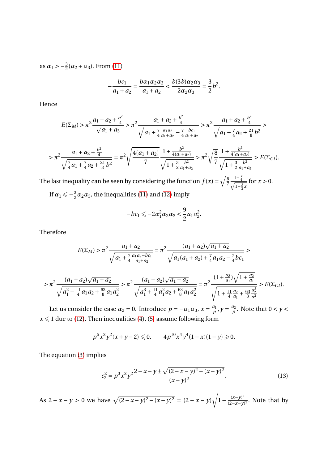as  $\alpha_1 > -\frac{3}{2}(\alpha_2 + \alpha_3)$ . From [\(11\)](#page-7-2)

$$
-\frac{bc_1}{a_1+a_2}=\frac{b\alpha_1\alpha_2\alpha_3}{a_1+a_2}<\frac{b(3b)\alpha_2\alpha_3}{2\alpha_2\alpha_3}=\frac{3}{2}b^2.
$$

Hence

$$
E(\Sigma_M) > \pi^2 \frac{a_1 + a_2 + \frac{b^2}{4}}{\sqrt{a_1 + a_3}} > \pi^2 \frac{a_1 + a_2 + \frac{b^2}{4}}{\sqrt{a_1 + \frac{7}{4} \frac{a_1 a_2}{a_1 + a_2} - \frac{7}{4} \frac{bc_1}{a_1 + a_2}}} > \pi^2 \frac{a_1 + a_2 + \frac{b^2}{4}}{\sqrt{a_1 + \frac{7}{4} a_2 + \frac{21}{8} b^2}} >
$$

$$
> \pi^2 \frac{a_1 + a_2 + \frac{b^2}{4}}{\sqrt{\frac{7}{4}a_1 + \frac{7}{4}a_2 + \frac{21}{8}b^2}} = \pi^2 \sqrt{\frac{4(a_1 + a_2)}{7}} \frac{1 + \frac{b^2}{4(a_1 + a_2)}}{\sqrt{1 + \frac{3}{2} \frac{b^2}{a_1 + a_2}}} > \pi^2 \sqrt{\frac{8}{7}} \frac{1 + \frac{b^2}{4(a_1 + a_2)}}{\sqrt{1 + \frac{3}{2} \frac{b^2}{a_1 + a_2}}} > E(\Sigma_C).
$$

The last inequality can be seen by considering the function  $f(x) = \sqrt{\frac{g}{7}}$ 7  $\frac{1+\frac{x}{4}}{\sqrt{1+\frac{3}{2}}x}$ for  $x > 0$ .

If  $\alpha_1 \leqslant -\frac{3}{2}$  $\frac{3}{2}\alpha_2\alpha_3$ , the inequalities [\(11\)](#page-7-2) and [\(12\)](#page-8-0) imply

$$
-bc_1 \leqslant -2\alpha_1^2 \alpha_2 \alpha_3 < \frac{9}{2} a_1 a_2^2.
$$

Therefore

$$
E(\Sigma_M) > \pi^2 \frac{a_1 + a_2}{\sqrt{a_1 + \frac{7}{4} \frac{a_1 a_2 - b c_1}{a_1 + a_2}}} = \pi^2 \frac{(a_1 + a_2)\sqrt{a_1 + a_2}}{\sqrt{a_1(a_1 + a_2) + \frac{7}{4}a_1 a_2 - \frac{7}{4}b c_1}} >
$$
  

$$
> \pi^2 \frac{(a_1 + a_2)\sqrt{a_1 + a_2}}{\sqrt{a_1^2 + \frac{11}{4}a_1 a_2 + \frac{63}{8}a_1 a_2^2}} > \pi^2 \frac{(a_1 + a_2)\sqrt{a_1 + a_2}}{\sqrt{a_1^3 + \frac{11}{4}a_1^2 a_2 + \frac{63}{8}a_1 a_2^2}} = \pi^2 \frac{(1 + \frac{a_2}{a_1})\sqrt{1 + \frac{a_2}{a_1}}}{\sqrt{1 + \frac{11}{4} \frac{a_2}{a_1} + \frac{63}{8} \frac{a_2^2}{a_1^2}}} > E(\Sigma_C).
$$

Let us consider the case  $\alpha_2 = 0$ . Introduce  $p = -\alpha_1 \alpha_3$ ,  $x = \frac{a_1}{p}$  $\frac{a_1}{p}$ ,  $y = \frac{a_2}{p}$  $\frac{a_2}{p}$ . Note that  $0 < y <$  $x \leq 1$  due to [\(12\)](#page-8-0). Then inequalities [\(4\)](#page-5-0), [\(5\)](#page-5-1) assume following form

$$
p^5x^2y^2(x+y-2)\leq 0, \qquad 4p^{10}x^4y^4(1-x)(1-y)\geq 0.
$$

The equation [\(3\)](#page-5-2) implies

<span id="page-9-0"></span>
$$
c_2^2 = p^3 x^2 y^2 \frac{2 - x - y \pm \sqrt{(2 - x - y)^2 - (x - y)^2}}{(x - y)^2}.
$$
 (13)

As  $2 - x - y > 0$  we have  $\sqrt{(2 - x - y)^2 - (x - y)^2} = (2 - x - y)\sqrt{1 - \frac{(x - y)^2}{(2 - x - y)^2}}$  $\frac{(x-y)}{(2-x-y)^2}$ . Note that by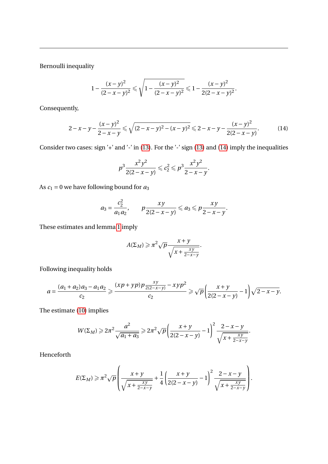Bernoulli inequality

$$
1 - \frac{(x - y)^2}{(2 - x - y)^2} \leq \sqrt{1 - \frac{(x - y)^2}{(2 - x - y)^2}} \leq 1 - \frac{(x - y)^2}{2(2 - x - y)^2}.
$$

Consequently,

<span id="page-10-0"></span>
$$
2-x-y-\frac{(x-y)^2}{2-x-y}\leqslant \sqrt{(2-x-y)^2-(x-y)^2}\leqslant 2-x-y-\frac{(x-y)^2}{2(2-x-y)}.\tag{14}
$$

Consider two cases: sign '+' and '-' in [\(13\)](#page-9-0). For the '-' sign (13) and [\(14\)](#page-10-0) imply the inequalities

$$
p^3 \frac{x^2 y^2}{2(2-x-y)} \leqslant c_2^2 \leqslant p^3 \frac{x^2 y^2}{2-x-y}.
$$

As *c*<sup>1</sup> = 0 we have following bound for *a*<sup>3</sup>

$$
a_3 = \frac{c_2^2}{a_1 a_2}, \qquad p \frac{xy}{2(2-x-y)} \leq a_3 \leq p \frac{xy}{2-x-y}.
$$

These estimates and lemma [1](#page-7-0) imply

$$
A(\Sigma_M) \geqslant \pi^2 \sqrt{p} \frac{x+y}{\sqrt{x+\frac{xy}{2-x-y}}}.
$$

Following inequality holds

$$
a = \frac{(a_1 + a_2)a_3 - a_1a_2}{c_2} \geqslant \frac{(xp + yp)p\frac{xy}{2(2 - x - y)} - xyp^2}{c_2} \geqslant \sqrt{p} \left( \frac{x + y}{2(2 - x - y)} - 1 \right) \sqrt{2 - x - y}.
$$

The estimate [\(10\)](#page-6-3) implies

$$
W(\Sigma_M) \geq 2\pi^2 \frac{a^2}{\sqrt{a_1 + a_3}} \geq 2\pi^2 \sqrt{p} \left( \frac{x + y}{2(2 - x - y)} - 1 \right)^2 \frac{2 - x - y}{\sqrt{x + \frac{xy}{2 - x - y}}}.
$$

Henceforth

$$
E(\Sigma_M) \ge \pi^2 \sqrt{p} \left( \frac{x+y}{\sqrt{x+\frac{xy}{2-x-y}}} + \frac{1}{4} \left( \frac{x+y}{2(2-x-y)} - 1 \right)^2 \frac{2-x-y}{\sqrt{x+\frac{xy}{2-x-y}}} \right).
$$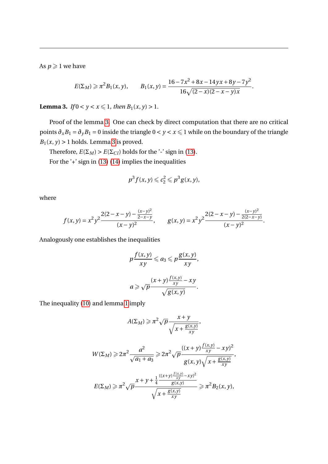As  $p \geqslant 1$  we have

$$
E(\Sigma_M) \ge \pi^2 B_1(x, y), \qquad B_1(x, y) = \frac{16 - 7x^2 + 8x - 14yx + 8y - 7y^2}{16\sqrt{(2 - x)(2 - x - y)x}}.
$$

<span id="page-11-0"></span>**Lemma 3.** *If*  $0 < y < x \le 1$ *, then*  $B_1(x, y) > 1$ *.* 

Proof of the lemma [3.](#page-11-0) One can check by direct computation that there are no critical points  $\partial_x B_1 = \partial_y B_1 = 0$  inside the triangle  $0 < y < x \le 1$  while on the boundary of the triangle  $B_1(x, y) > 1$  holds. Lemma [3](#page-11-0) is proved.

Therefore,  $E(\Sigma_M) > E(\Sigma_C)$  holds for the '-' sign in [\(13\)](#page-9-0). For the '+' sign in [\(13\)](#page-9-0) [\(14\)](#page-10-0) implies the inequalities

$$
p^3 f(x, y) \leqslant c_2^2 \leqslant p^3 g(x, y),
$$

where

$$
f(x, y) = x^2 y^2 \frac{2(2 - x - y) - \frac{(x - y)^2}{2 - x - y}}{(x - y)^2}, \qquad g(x, y) = x^2 y^2 \frac{2(2 - x - y) - \frac{(x - y)^2}{2(2 - x - y)}}{(x - y)^2}.
$$

Analogously one establishes the inequalities

$$
p\frac{f(x,y)}{xy} \leq a_3 \leq p\frac{g(x,y)}{xy},
$$
  

$$
a \geqslant \sqrt{p}\frac{(x+y)\frac{f(x,y)}{xy} - xy}{\sqrt{g(x,y)}}.
$$

The inequality [\(10\)](#page-6-3) and lemma [1](#page-7-0) imply

$$
A(\Sigma_M) \geqslant \pi^2 \sqrt{p} \frac{x+y}{\sqrt{x+\frac{g(x,y)}{xy}}},
$$

$$
W(\Sigma_M) \ge 2\pi^2 \frac{a^2}{\sqrt{a_1 + a_3}} \ge 2\pi^2 \sqrt{p} \frac{((x+y)\frac{f(x,y)}{xy} - xy)^2}{g(x,y)\sqrt{x + \frac{g(x,y)}{xy}}},
$$
  

$$
E(\Sigma_M) \ge \pi^2 \sqrt{p} \frac{x + y + \frac{1}{4} \frac{((x+y)\frac{f(x,y)}{xy} - xy)^2}{g(x,y)}}{g(x,y)} \ge \pi^2 P_{\mathbb{R}}(x, y).
$$

$$
E(\Sigma_M) \geqslant \pi^2 \sqrt{p} \frac{x + y + \frac{1}{4} \frac{(\sqrt{x} + y) - xy}{g(x, y)}}{\sqrt{x + \frac{g(x, y)}{xy}}} \geqslant \pi^2 B_2(x, y),
$$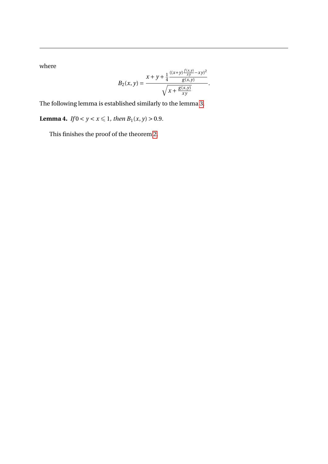where

$$
B_2(x, y) = \frac{x + y + \frac{1}{4} \frac{((x+y)\frac{f(x,y)}{xy} - xy)^2}{g(x,y)}}{\sqrt{x + \frac{g(x,y)}{xy}}}.
$$

The following lemma is established similarly to the lemma [3.](#page-11-0)

**Lemma 4.** *If*  $0 < y < x \le 1$ *, then*  $B_1(x, y) > 0.9$ *.* 

This finishes the proof of the theorem [2.](#page-5-3)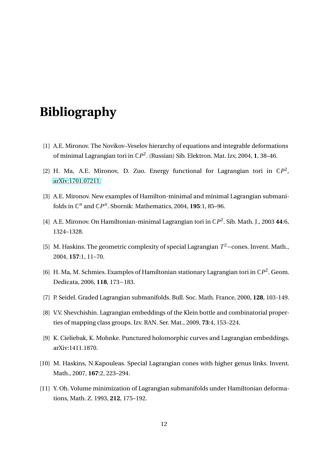## **Bibliography**

- <span id="page-13-8"></span>[1] A.E. Mironov. The Novikov–Veselov hierarchy of equations and integrable deformations of minimal Lagrangian tori in C*P* 2 . (Russian) Sib. Elektron. Mat. Izv, 2004, **1**, 38–46.
- <span id="page-13-0"></span>[2] H. Ma, A.E. Mironov, D. Zuo. Energy functional for Lagrangian tori in  $\mathbb{C}P^2$ , [arXiv:1701.07211.](https://arxiv.org/abs/1701.07211)
- <span id="page-13-6"></span>[3] A.E. Mironov. New examples of Hamilton-minimal and minimal Lagrangian submanifolds in  $\mathbb{C}^n$  and  $\mathbb{C}P^n$ . Sbornik: Mathematics, 2004, 195:1, 85–96.
- <span id="page-13-2"></span>[4] A.E. Mironov. On Hamiltonian-minimal Lagrangian tori in C*P* 2 . Sib. Math. J., 2003 **44**:6, 1324–1328.
- <span id="page-13-1"></span>[5] M. Haskins. The geometric complexity of special Lagrangian *T* <sup>2</sup>−cones. Invent. Math., 2004, **157**:1, 11–70.
- <span id="page-13-9"></span>[6] H. Ma, M. Schmies. Examples of Hamiltonian stationary Lagrangian tori in C*P* 2 . Geom. Dedicata, 2006, **118**, 173−183.
- <span id="page-13-3"></span>[7] P. Seidel. Graded Lagrangian submanifolds. Bull. Soc. Math. France, 2000, **128**, 103-149.
- <span id="page-13-4"></span>[8] V.V. Shevchishin. Lagrangian embeddings of the Klein bottle and combinatorial properties of mapping class groups. Izv. RAN. Ser. Mat., 2009, **73**:4, 153–224.
- <span id="page-13-5"></span>[9] K. Cieliebak, K. Mohnke. Punctured holomorphic curves and Lagrangian embeddings. arXiv:1411.1870.
- <span id="page-13-7"></span>[10] M. Haskins, N.Kapouleas. Special Lagrangian cones with higher genus links. Invent. Math., 2007, **167**:2, 223–294.
- <span id="page-13-10"></span>[11] Y. Oh. Volume minimization of Lagrangian submanifolds under Hamiltonian deformations, Math. Z. 1993, **212**, 175–192.